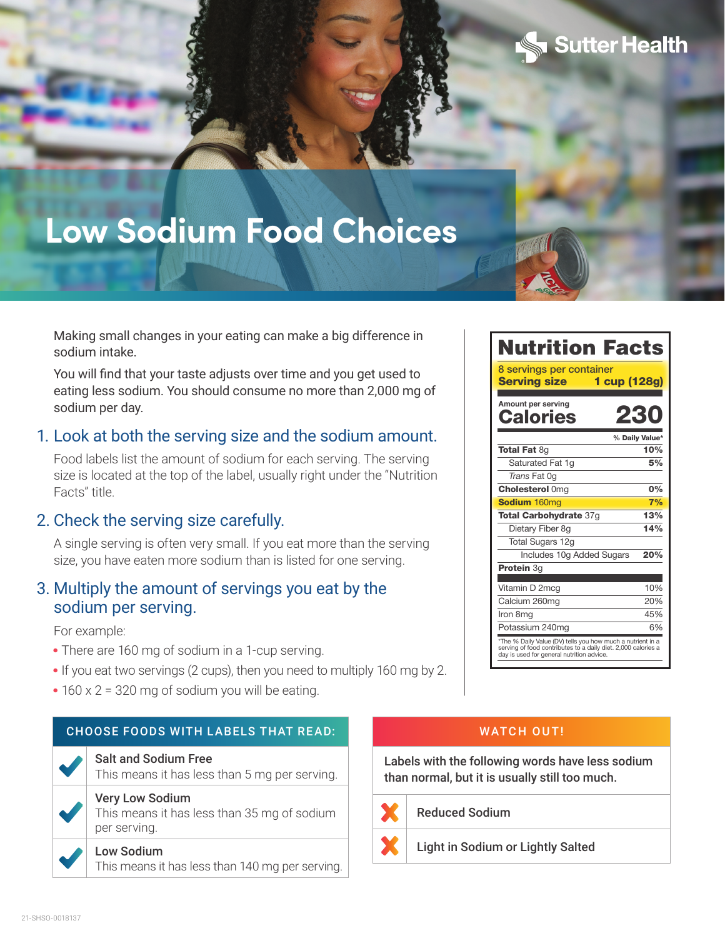# **Low Sodium Food Choices**



Sutter Health

#### Making small changes in your eating can make a big difference in sodium intake.

You will find that your taste adjusts over time and you get used to eating less sodium. You should consume no more than 2,000 mg of sodium per day.

## 1. Look at both the serving size and the sodium amount.

Food labels list the amount of sodium for each serving. The serving size is located at the top of the label, usually right under the "Nutrition Facts" title.

### 2. Check the serving size carefully.

A single serving is often very small. If you eat more than the serving size, you have eaten more sodium than is listed for one serving.

## 3. Multiply the amount of servings you eat by the sodium per serving.

For example:

- **•** There are 160 mg of sodium in a 1-cup serving.
- **•** If you eat two servings (2 cups), then you need to multiply 160 mg by 2.
- **•** 160 x 2 = 320 mg of sodium you will be eating.

#### CHOOSE FOODS WITH LABELS THAT READ:

#### Salt and Sodium Free

This means it has less than 5 mg per serving.

#### Very Low Sodium

This means it has less than 35 mg of sodium per serving.

#### Low Sodium

This means it has less than 140 mg per serving.

#### WATCH OUT!

Labels with the following words have less sodium than normal, but it is usually still too much.



Reduced Sodium

F Light in Sodium or Lightly Salted

T

T

T